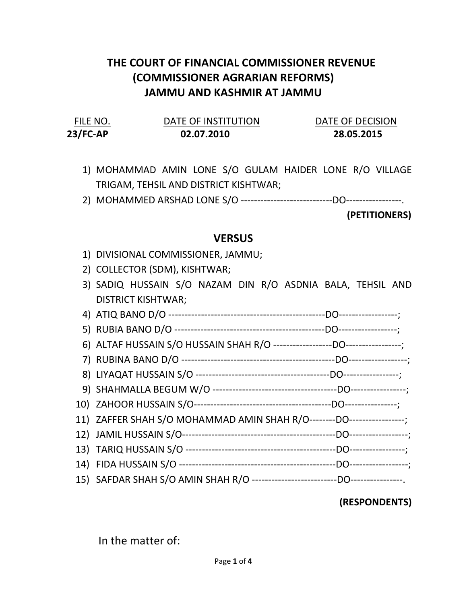## THE COURT OF FINANCIAL COMMISSIONER REVENUE (COMMISSIONER AGRARIAN REFORMS) JAMMU AND KASHMIR AT JAMMU

| FILE NO.   | DATE OF INSTITUTION | DATE OF DECISION |
|------------|---------------------|------------------|
| $23/FC-AP$ | 02.07.2010          | 28.05.2015       |

- 1) MOHAMMAD AMIN LONE S/O GULAM HAIDER LONE R/O VILLAGE TRIGAM, TEHSIL AND DISTRICT KISHTWAR;
- 2) MOHAMMED ARSHAD LONE S/O ----------------------------DO-----------------.

(PETITIONERS)

## **VERSUS**

- 1) DIVISIONAL COMMISSIONER, JAMMU;
- 2) COLLECTOR (SDM), KISHTWAR;
- 3) SADIQ HUSSAIN S/O NAZAM DIN R/O ASDNIA BALA, TEHSIL AND DISTRICT KISHTWAR;
- 4) ATIQ BANO D/O ------------------------------------------------DO------------------;
- 5) RUBIA BANO D/O ----------------------------------------------DO------------------;
- 6) ALTAF HUSSAIN S/O HUSSAIN SHAH R/O ------------------DO-----------------;
- 7) RUBINA BANO D/O -----------------------------------------------DO------------------;
- 8) LIYAQAT HUSSAIN S/O -----------------------------------------DO-----------------;
- 9) SHAHMALLA BEGUM W/O --------------------------------------DO-----------------;
- 10) ZAHOOR HUSSAIN S/O------------------------------------------DO----------------; 11) ZAFFER SHAH S/O MOHAMMAD AMIN SHAH R/O--------DO-----------------;
- 12) JAMIL HUSSAIN S/O-----------------------------------------------DO------------------;
- 13) TARIQ HUSSAIN S/O ----------------------------------------------DO-----------------;
- 14) FIDA HUSSAIN S/O ------------------------------------------------DO------------------;
- 15) SAFDAR SHAH S/O AMIN SHAH R/O --------------------------DO----------------.

## (RESPONDENTS)

In the matter of: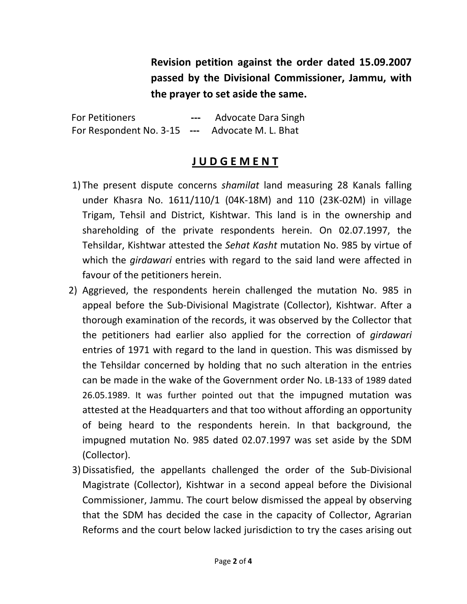Revision petition against the order dated 15.09.2007 passed by the Divisional Commissioner, Jammu, with the prayer to set aside the same.

For Petitioners **---** Advocate Dara Singh For Respondent No. 3-15 --- Advocate M. L. Bhat

## J U D G E M E N T

- 1) The present dispute concerns shamilat land measuring 28 Kanals falling under Khasra No. 1611/110/1 (04K-18M) and 110 (23K-02M) in village Trigam, Tehsil and District, Kishtwar. This land is in the ownership and shareholding of the private respondents herein. On 02.07.1997, the Tehsildar, Kishtwar attested the Sehat Kasht mutation No. 985 by virtue of which the *girdawari* entries with regard to the said land were affected in favour of the petitioners herein.
- 2) Aggrieved, the respondents herein challenged the mutation No. 985 in appeal before the Sub-Divisional Magistrate (Collector), Kishtwar. After a thorough examination of the records, it was observed by the Collector that the petitioners had earlier also applied for the correction of girdawari entries of 1971 with regard to the land in question. This was dismissed by the Tehsildar concerned by holding that no such alteration in the entries can be made in the wake of the Government order No. LB-133 of 1989 dated 26.05.1989. It was further pointed out that the impugned mutation was attested at the Headquarters and that too without affording an opportunity of being heard to the respondents herein. In that background, the impugned mutation No. 985 dated 02.07.1997 was set aside by the SDM (Collector).
- 3)Dissatisfied, the appellants challenged the order of the Sub-Divisional Magistrate (Collector), Kishtwar in a second appeal before the Divisional Commissioner, Jammu. The court below dismissed the appeal by observing that the SDM has decided the case in the capacity of Collector, Agrarian Reforms and the court below lacked jurisdiction to try the cases arising out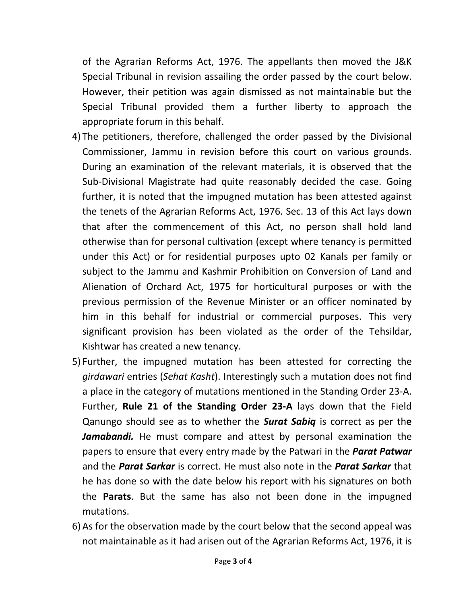of the Agrarian Reforms Act, 1976. The appellants then moved the J&K Special Tribunal in revision assailing the order passed by the court below. However, their petition was again dismissed as not maintainable but the Special Tribunal provided them a further liberty to approach the appropriate forum in this behalf.

- 4) The petitioners, therefore, challenged the order passed by the Divisional Commissioner, Jammu in revision before this court on various grounds. During an examination of the relevant materials, it is observed that the Sub-Divisional Magistrate had quite reasonably decided the case. Going further, it is noted that the impugned mutation has been attested against the tenets of the Agrarian Reforms Act, 1976. Sec. 13 of this Act lays down that after the commencement of this Act, no person shall hold land otherwise than for personal cultivation (except where tenancy is permitted under this Act) or for residential purposes upto 02 Kanals per family or subject to the Jammu and Kashmir Prohibition on Conversion of Land and Alienation of Orchard Act, 1975 for horticultural purposes or with the previous permission of the Revenue Minister or an officer nominated by him in this behalf for industrial or commercial purposes. This very significant provision has been violated as the order of the Tehsildar, Kishtwar has created a new tenancy.
- 5) Further, the impugned mutation has been attested for correcting the girdawari entries (Sehat Kasht). Interestingly such a mutation does not find a place in the category of mutations mentioned in the Standing Order 23-A. Further, Rule 21 of the Standing Order 23-A lays down that the Field Qanungo should see as to whether the **Surat Sabiq** is correct as per the Jamabandi. He must compare and attest by personal examination the papers to ensure that every entry made by the Patwari in the **Parat Patwar** and the **Parat Sarkar** is correct. He must also note in the **Parat Sarkar** that he has done so with the date below his report with his signatures on both the Parats. But the same has also not been done in the impugned mutations.
- 6) As for the observation made by the court below that the second appeal was not maintainable as it had arisen out of the Agrarian Reforms Act, 1976, it is